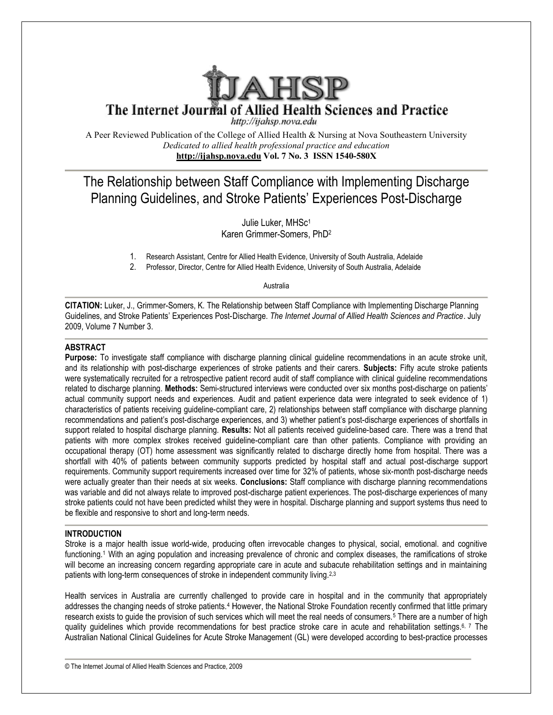

The Internet Journal of Allied Health Sciences and Practice

http://ijahsp.nova.edu

A Peer Reviewed Publication of the College of Allied Health & Nursing at Nova Southeastern University *Dedicated to allied health professional practice and education* **<http://ijahsp.nova.edu> Vol. 7 No. 3 ISSN 1540-580X** 

# The Relationship between Staff Compliance with Implementing Discharge<br>Planning Guidelines, and Stroke Patients' Experiences Post-Discharge Planning Guidelines, and Stroke Patients' Experiences Post Discharge

Karen G Grimmer-Somers, PhD<sup>2</sup> Julie Luker, MHSc<sup>1</sup>

1. Research Assistant, Centre for Allied Health Evidence, University of South Australia, Adelaide

2. Professor, Director, Centre for Allied Health Evidence, University of South Australia, Adelaide Research Assistant, Centre for Allied Health Evidence, University of South Australia, Adelaide<br>Professor, Director, Centre for Allied Health Evidence, University of South Australia, Adelaide<br>Australia

**CITATION:** Luker, J., Grimmer-Somers, K. The Relationship between Staff Compliance with Implementing Discharge Planning Guidelines, and Stroke Patients' Experiences Post-Discharge. The Internet Journal of Allied Health Sciences and Practice. July 2009, Volume 7 Number 3.

## **ABSTRACT**

Purpose: To investigate staff compliance with discharge planning clinical guideline recommendations in an acute stroke unit, and its relationship with post-discharge experiences of stroke patients and their carers. **Subjects:** Fifty acute stroke patients were systematically recruited for a retrospective patient record audit of staff compliance with clinical guideline recommendations related to discharge planning. Methods: Semi-structured interviews were conducted over six months post-discharge on patients' actual community support needs and experiences. Audit and patient experience data were integrated to seek evidence of 1) characteristics of patients receiving guideline-compliant care, 2) relationships between staff compliance with discharge planning characteristics of patients receiving guideline-compliant care, 2) relationships between staff compliance with discharge planning<br>recommendations and patient's post-discharge experiences, and 3) whether patient's post-disc support related to hospital discharge planning. Results: Not all patients received guideline-based care. There was a trend that patients with more complex strokes received guideline-compliant care than other patients. Compliance with providing an occupational therapy (OT) home assessment was significantly related to discharge directly home from hospital. There was a shortfall with 40% of patients between community supports predicted by hospital staff and actual post-discharge support requirements. Community support requirements increased over time for 32% of patients, whose six-month post-discharge needs were actually greater than their needs at six weeks. Conclusions: Staff compliance with discharge planning recommendations was variable and did not always relate to improved post-discharge patient experiences. The post-discharge experiences of many stroke patients could not have been predicted whilst they were in hospital. Discharge planning and support systems thus need to be flexible and responsive to short and long-term needs. lot all patients received guideline-based care. There was a tree compliant care than other patients. Compliance with providently related to discharge directly home from hospital. There oorts predicted by hospital staff and

## **INTRODUCTION**

Stroke is a major health issue world-wide, producing often irrevocable changes to physical, social, emotional. and cognitive Stroke is a major health issue world-wide, producing often irrevocable changes to physical, social, emotional. and cognitive<br>functioning.<sup>1</sup> With an aging population and increasing prevalence of chronic and complex disease will become an increasing concern regarding appropriate care in acute and subacute rehabilitation settings and in maintaining patients with long-term consequences of stroke in independent community living.<sup>2,3</sup>

Health services in Australia are currently challenged to provide care in hospital and in the community that appropriately addresses the changing needs of stroke patients.<sup>4</sup> However, the National Stroke Foundation recently confirmed that little primary research exists to guide the provision of such services which will meet the real needs of consumers.<sup>5</sup> There are a number of high quality guidelines which provide recommendations for best practice stroke care in acute and rehabilitation settings.<sup>6, 7</sup> The Australian National Clinical Guidelines for Acute Stroke Management (GL) were developed according to best-practice processes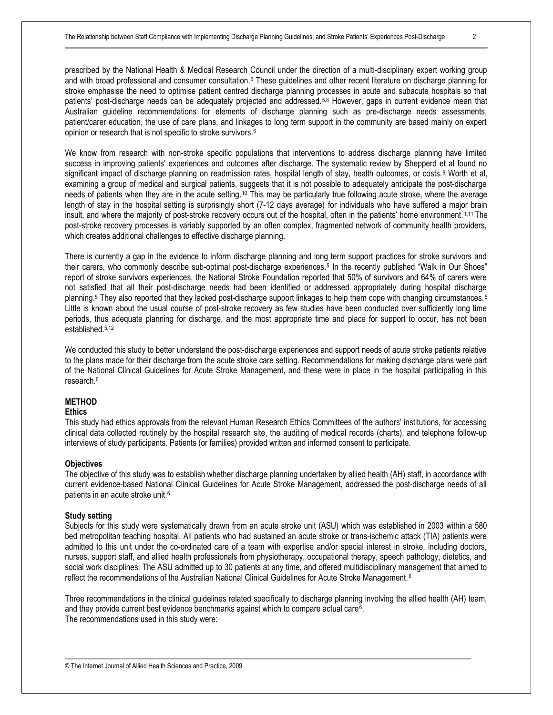prescribed by the National Health & Medical Research Council under the direction of a multi-disciplinary expert working group and with broad professional and consumer consultation.<sup>6</sup> These quidelines and other recent literature on discharge planning for stroke emphasise the need to optimise patient centred discharge planning processes in acute and subacute hospitals so that patients' post-discharge needs can be adequately projected and addressed.5,8 However, gaps in current evidence mean that Australian guideline recommendations for elements of discharge planning such as pre-discharge needs assessments, patient/carer education, the use of care plans, and linkages to long term support in the community are based mainly on expert opinion or research that is not specific to stroke survivors.<sup>6</sup>

We know from research with non-stroke specific populations that interventions to address discharge planning have limited success in improving patients' experiences and outcomes after discharge. The systematic review by Shepperd et al found no significant impact of discharge planning on readmission rates, hospital length of stay, health outcomes, or costs.<sup>9</sup> Worth et al, examining a group of medical and surgical patients, suggests that it is not possible to adequately anticipate the post-discharge needs of patients when they are in the acute setting.<sup>10</sup> This may be particularly true following acute stroke, where the average length of stay in the hospital setting is surprisingly short (7-12 days average) for individuals who have suffered a major brain insult, and where the majority of post-stroke recovery occurs out of the hospital, often in the patients' home environment. 1,11 The post-stroke recovery processes is variably supported by an often complex, fragmented network of community health providers, which creates additional challenges to effective discharge planning.

There is currently a gap in the evidence to inform discharge planning and long term support practices for stroke survivors and their carers, who commonly describe sub-optimal post-discharge experiences.<sup>5</sup> In the recently published "Walk in Our Shoes" report of stroke survivors experiences, the National Stroke Foundation reported that 50% of survivors and 64% of carers were not satisfied that all their post-discharge needs had been identified or addressed appropriately during hospital discharge planning.<sup>5</sup> They also reported that they lacked post-discharge support linkages to help them cope with changing circumstances.<sup>5</sup> Little is known about the usual course of post-stroke recovery as few studies have been conducted over sufficiently long time periods, thus adequate planning for discharge, and the most appropriate time and place for support to occur, has not been established.5,12

We conducted this study to better understand the post-discharge experiences and support needs of acute stroke patients relative to the plans made for their discharge from the acute stroke care setting. Recommendations for making discharge plans were part of the National Clinical Guidelines for Acute Stroke Management, and these were in place in the hospital participating in this research.<sup>6</sup>

## **METHOD**

## **Ethics**

This study had ethics approvals from the relevant Human Research Ethics Committees of the authors' institutions, for accessing clinical data collected routinely by the hospital research site, the auditing of medical records (charts), and telephone follow-up interviews of study participants. Patients (or families) provided written and informed consent to participate.

#### **Objectives**

The objective of this study was to establish whether discharge planning undertaken by allied health (AH) staff, in accordance with current evidence-based National Clinical Guidelines for Acute Stroke Management, addressed the post-discharge needs of all patients in an acute stroke unit.<sup>6</sup>

#### **Study setting**

Subjects for this study were systematically drawn from an acute stroke unit (ASU) which was established in 2003 within a 580 bed metropolitan teaching hospital. All patients who had sustained an acute stroke or trans-ischemic attack (TIA) patients were admitted to this unit under the co-ordinated care of a team with expertise and/or special interest in stroke, including doctors, nurses, support staff, and allied health professionals from physiotherapy, occupational therapy, speech pathology, dietetics, and social work disciplines. The ASU admitted up to 30 patients at any time, and offered multidisciplinary management that aimed to reflect the recommendations of the Australian National Clinical Guidelines for Acute Stroke Management.<sup>6</sup>

Three recommendations in the clinical guidelines related specifically to discharge planning involving the allied health (AH) team, and they provide current best evidence benchmarks against which to compare actual care<sup>6</sup>. The recommendations used in this study were: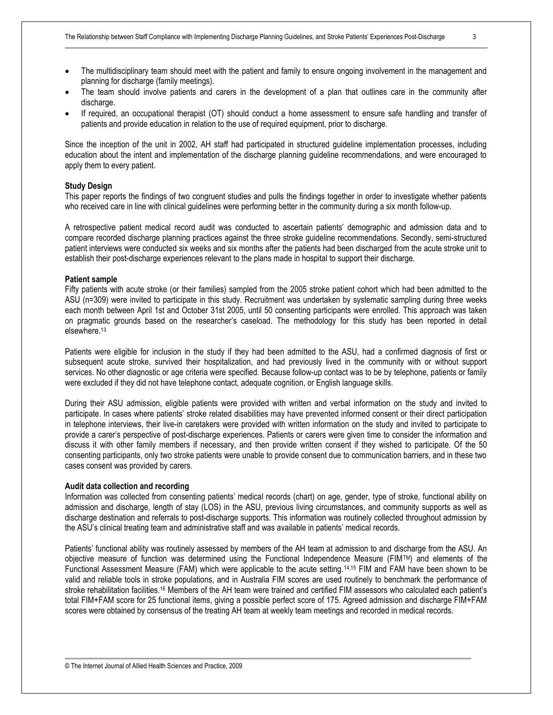- The multidisciplinary team should meet with the patient and family to ensure ongoing involvement in the management and planning for discharge (family meetings).
- · The team should involve patients and carers in the development of a plan that outlines care in the community after discharge.
- If required, an occupational therapist (OT) should conduct a home assessment to ensure safe handling and transfer of patients and provide education in relation to the use of required equipment, prior to discharge.

Since the inception of the unit in 2002, AH staff had participated in structured guideline implementation processes, including education about the intent and implementation of the discharge planning guideline recommendations, and were encouraged to apply them to every patient.

#### **Study Design**

This paper reports the findings of two congruent studies and pulls the findings together in order to investigate whether patients who received care in line with clinical guidelines were performing better in the community during a six month follow-up.

A retrospective patient medical record audit was conducted to ascertain patients' demographic and admission data and to compare recorded discharge planning practices against the three stroke guideline recommendations. Secondly, semi-structured patient interviews were conducted six weeks and six months after the patients had been discharged from the acute stroke unit to establish their post-discharge experiences relevant to the plans made in hospital to support their discharge.

## **Patient sample**

Fifty patients with acute stroke (or their families) sampled from the 2005 stroke patient cohort which had been admitted to the ASU (n=309) were invited to participate in this study. Recruitment was undertaken by systematic sampling during three weeks each month between April 1st and October 31st 2005, until 50 consenting participants were enrolled. This approach was taken on pragmatic grounds based on the researcher's caseload. The methodology for this study has been reported in detail elsewhere.<sup>13</sup>

Patients were eligible for inclusion in the study if they had been admitted to the ASU, had a confirmed diagnosis of first or subsequent acute stroke, survived their hospitalization, and had previously lived in the community with or without support services. No other diagnostic or age criteria were specified. Because follow-up contact was to be by telephone, patients or family were excluded if they did not have telephone contact, adequate cognition, or English language skills.

During their ASU admission, eligible patients were provided with written and verbal information on the study and invited to participate. In cases where patients' stroke related disabilities may have prevented informed consent or their direct participation in telephone interviews, their live-in caretakers were provided with written information on the study and invited to participate to provide a carer's perspective of post-discharge experiences. Patients or carers were given time to consider the information and discuss it with other family members if necessary, and then provide written consent if they wished to participate. Of the 50 consenting participants, only two stroke patients were unable to provide consent due to communication barriers, and in these two cases consent was provided by carers.

## **Audit data collection and recording**

Information was collected from consenting patients' medical records (chart) on age, gender, type of stroke, functional ability on admission and discharge, length of stay (LOS) in the ASU, previous living circumstances, and community supports as well as discharge destination and referrals to post-discharge supports. This information was routinely collected throughout admission by the ASU's clinical treating team and administrative staff and was available in patients' medical records.

Patients' functional ability was routinely assessed by members of the AH team at admission to and discharge from the ASU. An objective measure of function was determined using the Functional Independence Measure (FIMTM) and elements of the Functional Assessment Measure (FAM) which were applicable to the acute setting.14,15 FIM and FAM have been shown to be valid and reliable tools in stroke populations, and in Australia FIM scores are used routinely to benchmark the performance of stroke rehabilitation facilities.<sup>16</sup> Members of the AH team were trained and certified FIM assessors who calculated each patient's total FIM+FAM score for 25 functional items, giving a possible perfect score of 175. Agreed admission and discharge FIM+FAM scores were obtained by consensus of the treating AH team at weekly team meetings and recorded in medical records.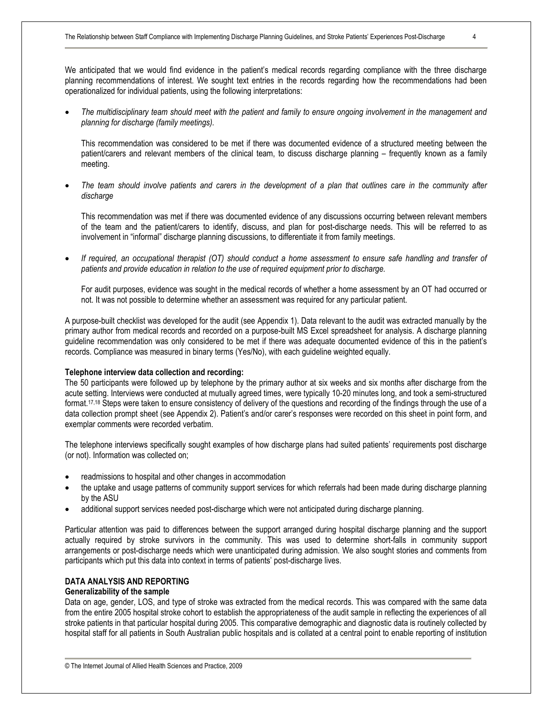We anticipated that we would find evidence in the patient's medical records regarding compliance with the three discharge planning recommendations of interest. We sought text entries in the records regarding how the recommendations had been operationalized for individual patients, using the following interpretations:

The multidisciplinary team should meet with the patient and family to ensure ongoing involvement in the management and *planning for discharge (family meetings).*

This recommendation was considered to be met if there was documented evidence of a structured meeting between the patient/carers and relevant members of the clinical team, to discuss discharge planning – frequently known as a family meeting.

The team should involve patients and carers in the development of a plan that outlines care in the community after *discharge* 

This recommendation was met if there was documented evidence of any discussions occurring between relevant members of the team and the patient/carers to identify, discuss, and plan for post-discharge needs. This will be referred to as involvement in "informal" discharge planning discussions, to differentiate it from family meetings.

If required, an occupational therapist (OT) should conduct a home assessment to ensure safe handling and transfer of *patients and provide education in relation to the use of required equipment prior to discharge.*

For audit purposes, evidence was sought in the medical records of whether a home assessment by an OT had occurred or not. It was not possible to determine whether an assessment was required for any particular patient.

A purpose-built checklist was developed for the audit (see Appendix 1). Data relevant to the audit was extracted manually by the primary author from medical records and recorded on a purpose-built MS Excel spreadsheet for analysis. A discharge planning guideline recommendation was only considered to be met if there was adequate documented evidence of this in the patient's records. Compliance was measured in binary terms (Yes/No), with each guideline weighted equally.

## **Telephone interview data collection and recording:**

The 50 participants were followed up by telephone by the primary author at six weeks and six months after discharge from the acute setting. Interviews were conducted at mutually agreed times, were typically 10-20 minutes long, and took a semi-structured format.<sup>17,18</sup> Steps were taken to ensure consistency of delivery of the questions and recording of the findings through the use of a data collection prompt sheet (see Appendix 2). Patient's and/or carer's responses were recorded on this sheet in point form, and exemplar comments were recorded verbatim.

The telephone interviews specifically sought examples of how discharge plans had suited patients' requirements post discharge (or not). Information was collected on;

- readmissions to hospital and other changes in accommodation
- · the uptake and usage patterns of community support services for which referrals had been made during discharge planning by the ASU
- additional support services needed post-discharge which were not anticipated during discharge planning.

Particular attention was paid to differences between the support arranged during hospital discharge planning and the support actually required by stroke survivors in the community. This was used to determine short-falls in community support arrangements or post-discharge needs which were unanticipated during admission. We also sought stories and comments from participants which put this data into context in terms of patients' post-discharge lives.

## **DATA ANALYSIS AND REPORTING**

## **Generalizability of the sample**

Data on age, gender, LOS, and type of stroke was extracted from the medical records. This was compared with the same data from the entire 2005 hospital stroke cohort to establish the appropriateness of the audit sample in reflecting the experiences of all stroke patients in that particular hospital during 2005. This comparative demographic and diagnostic data is routinely collected by hospital staff for all patients in South Australian public hospitals and is collated at a central point to enable reporting of institution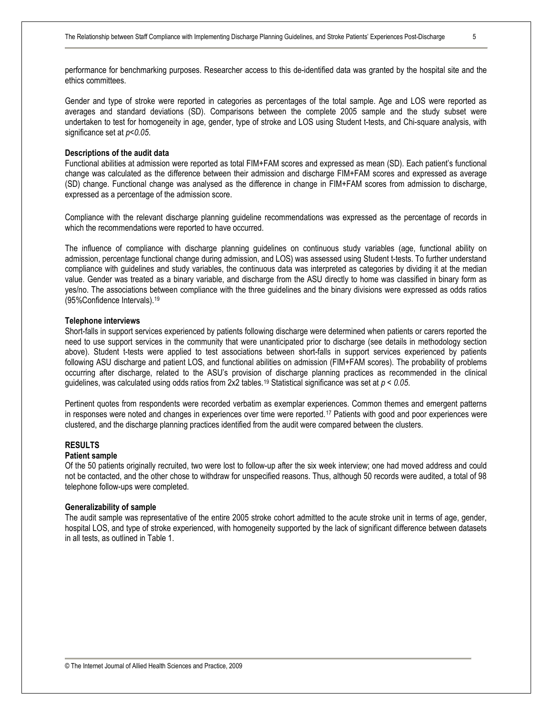performance for benchmarking purposes. Researcher access to this de-identified data was granted by the hospital site and the ethics committees.

Gender and type of stroke were reported in categories as percentages of the total sample. Age and LOS were reported as averages and standard deviations (SD). Comparisons between the complete 2005 sample and the study subset were undertaken to test for homogeneity in age, gender, type of stroke and LOS using Student t-tests, and Chi-square analysis, with significance set at *p<0.05*.

## **Descriptions of the audit data**

Functional abilities at admission were reported as total FIM+FAM scores and expressed as mean (SD). Each patient's functional change was calculated as the difference between their admission and discharge FIM+FAM scores and expressed as average (SD) change. Functional change was analysed as the difference in change in FIM+FAM scores from admission to discharge, expressed as a percentage of the admission score.

Compliance with the relevant discharge planning guideline recommendations was expressed as the percentage of records in which the recommendations were reported to have occurred.

The influence of compliance with discharge planning guidelines on continuous study variables (age, functional ability on admission, percentage functional change during admission, and LOS) was assessed using Student t-tests. To further understand compliance with guidelines and study variables, the continuous data was interpreted as categories by dividing it at the median value. Gender was treated as a binary variable, and discharge from the ASU directly to home was classified in binary form as yes/no. The associations between compliance with the three guidelines and the binary divisions were expressed as odds ratios (95%Confidence Intervals).<sup>19</sup>

#### **Telephone interviews**

Short-falls in support services experienced by patients following discharge were determined when patients or carers reported the need to use support services in the community that were unanticipated prior to discharge (see details in methodology section above). Student t-tests were applied to test associations between short-falls in support services experienced by patients following ASU discharge and patient LOS, and functional abilities on admission (FIM+FAM scores). The probability of problems occurring after discharge, related to the ASU's provision of discharge planning practices as recommended in the clinical guidelines, was calculated using odds ratios from 2x2 tables.<sup>19</sup> Statistical significance was set at *p < 0.05*.

Pertinent quotes from respondents were recorded verbatim as exemplar experiences. Common themes and emergent patterns in responses were noted and changes in experiences over time were reported.<sup>17</sup> Patients with good and poor experiences were clustered, and the discharge planning practices identified from the audit were compared between the clusters.

## **RESULTS**

## **Patient sample**

Of the 50 patients originally recruited, two were lost to follow-up after the six week interview; one had moved address and could not be contacted, and the other chose to withdraw for unspecified reasons. Thus, although 50 records were audited, a total of 98 telephone follow-ups were completed.

#### **Generalizability of sample**

The audit sample was representative of the entire 2005 stroke cohort admitted to the acute stroke unit in terms of age, gender, hospital LOS, and type of stroke experienced, with homogeneity supported by the lack of significant difference between datasets in all tests, as outlined in Table 1.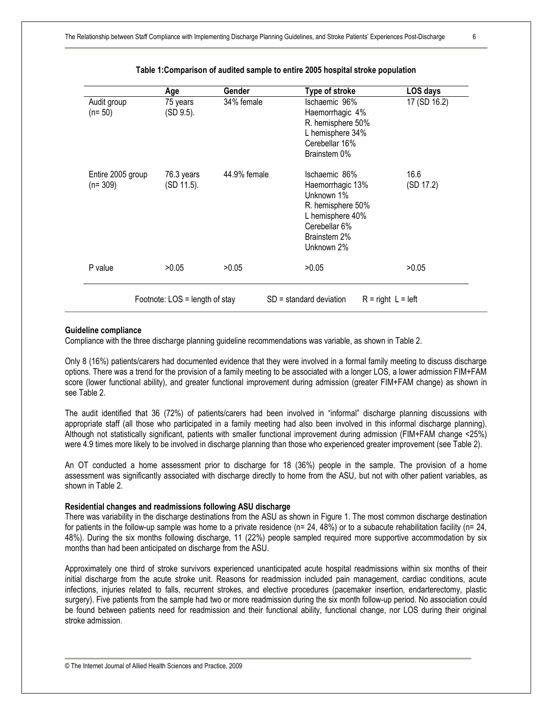|                                | Age                      | <b>Gender</b> | <b>Type of stroke</b>                                                                                                                   | LOS days          |
|--------------------------------|--------------------------|---------------|-----------------------------------------------------------------------------------------------------------------------------------------|-------------------|
| Audit group<br>$(n=50)$        | 75 years<br>(SD 9.5).    | 34% female    | Ischaemic 96%<br>Haemorrhagic 4%<br>R. hemisphere 50%<br>L hemisphere 34%<br>Cerebellar 16%<br>Brainstem 0%                             | 17 (SD 16.2)      |
| Entire 2005 group<br>$(n=309)$ | 76.3 years<br>(SD 11.5). | 44.9% female  | Ischaemic 86%<br>Haemorrhagic 13%<br>Unknown 1%<br>R. hemisphere 50%<br>L hemisphere 40%<br>Cerebellar 6%<br>Brainstem 2%<br>Unknown 2% | 16.6<br>(SD 17.2) |
| P value                        | >0.05                    | >0.05         | >0.05                                                                                                                                   | >0.05             |

### **Table 1:Comparison of audited sample to entire 2005 hospital stroke population**

## **Guideline compliance**

Compliance with the three discharge planning guideline recommendations was variable, as shown in Table 2.

Only 8 (16%) patients/carers had documented evidence that they were involved in a formal family meeting to discuss discharge options. There was a trend for the provision of a family meeting to be associated with a longer LOS, a lower admission FIM+FAM score (lower functional ability), and greater functional improvement during admission (greater FIM+FAM change) as shown in see Table 2.

The audit identified that 36 (72%) of patients/carers had been involved in "informal" discharge planning discussions with appropriate staff (all those who participated in a family meeting had also been involved in this informal discharge planning). Although not statistically significant, patients with smaller functional improvement during admission (FIM+FAM change <25%) were 4.9 times more likely to be involved in discharge planning than those who experienced greater improvement (see Table 2).

An OT conducted a home assessment prior to discharge for 18 (36%) people in the sample. The provision of a home assessment was significantly associated with discharge directly to home from the ASU*,* but not with other patient variables, as shown in Table 2.

## **Residential changes and readmissions following ASU discharge**

There was variability in the discharge destinations from the ASU as shown in Figure 1. The most common discharge destination for patients in the follow-up sample was home to a private residence ( $n= 24$ , 48%) or to a subacute rehabilitation facility ( $n= 24$ , 48%). During the six months following discharge, 11 (22%) people sampled required more supportive accommodation by six months than had been anticipated on discharge from the ASU.

Approximately one third of stroke survivors experienced unanticipated acute hospital readmissions within six months of their initial discharge from the acute stroke unit. Reasons for readmission included pain management, cardiac conditions, acute infections, injuries related to falls, recurrent strokes, and elective procedures (pacemaker insertion, endarterectomy, plastic surgery). Five patients from the sample had two or more readmission during the six month follow-up period. No association could be found between patients need for readmission and their functional ability, functional change, nor LOS during their original stroke admission.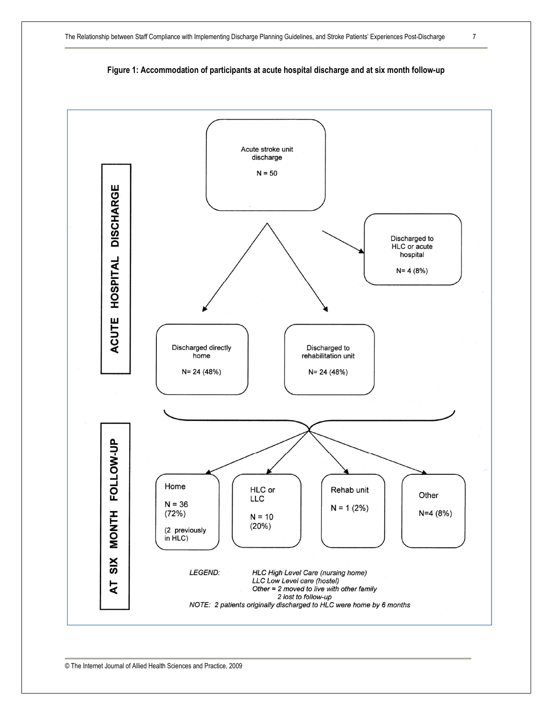

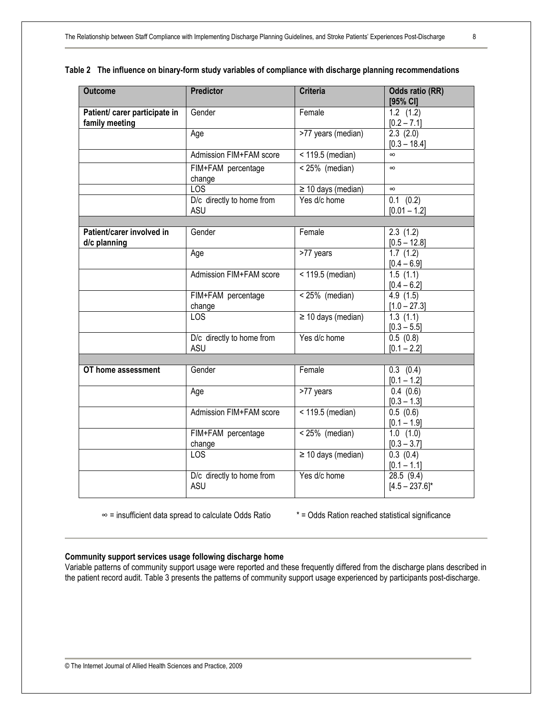| <b>Outcome</b>                                  | <b>Predictor</b>                        | <b>Criteria</b>         | Odds ratio (RR)<br>[95% CI]              |
|-------------------------------------------------|-----------------------------------------|-------------------------|------------------------------------------|
| Patient/ carer participate in<br>family meeting | Gender                                  | Female                  | $1.2$ $(1.2)$<br>$[0.2 - 7.1]$           |
|                                                 | Age                                     | >77 years (median)      | 2.3(2.0)<br>$[0.3 - 18.4]$               |
|                                                 | Admission FIM+FAM score                 | < 119.5 (median)        | $\infty$                                 |
|                                                 | FIM+FAM percentage<br>change            | $< 25\%$ (median)       | $\infty$                                 |
|                                                 | <b>LOS</b>                              | $\geq$ 10 days (median) | $\infty$                                 |
|                                                 | D/c directly to home from<br><b>ASU</b> | Yes d/c home            | $0.1$ $(0.2)$<br>$[0.01 - 1.2]$          |
|                                                 |                                         |                         |                                          |
| Patient/carer involved in<br>d/c planning       | Gender                                  | Female                  | 2.3(1.2)<br>$[0.5 - 12.8]$               |
|                                                 | Age                                     | >77 years               | 1.7(1.2)<br>$[0.4 - 6.9]$                |
|                                                 | Admission FIM+FAM score                 | < 119.5 (median)        | 1.5(1.1)<br>$[0.4 - 6.2]$                |
|                                                 | FIM+FAM percentage<br>change            | $< 25\%$ (median)       | 4.9(1.5)<br>$[1.0 - 27.3]$               |
|                                                 | LOS                                     | $\geq$ 10 days (median) | $\overline{1}$ .3 (1.1)<br>$[0.3 - 5.5]$ |
|                                                 | D/c directly to home from<br><b>ASU</b> | Yes d/c home            | 0.5(0.8)<br>$[0.1 - 2.2]$                |
|                                                 |                                         |                         |                                          |
| OT home assessment                              | Gender                                  | Female                  | $0.3$ $(0.4)$<br>$[0.1 - 1.2]$           |
|                                                 | Age                                     | >77 years               | 0.4(0.6)<br>$[0.3 - 1.3]$                |
|                                                 | Admission FIM+FAM score                 | $<$ 119.5 (median)      | 0.5(0.6)<br>$[0.1 - 1.9]$                |
|                                                 | FIM+FAM percentage<br>change            | $< 25\%$ (median)       | $1.0$ $(1.0)$<br>$[0.3 - 3.7]$           |
|                                                 | LOS                                     | $\geq$ 10 days (median) | 0.3(0.4)<br>$[0.1 - 1.1]$                |
|                                                 | D/c directly to home from<br><b>ASU</b> | Yes d/c home            | 28.5(9.4)<br>$[4.5 - 237.6]$ *           |

|  |  | Table 2 The influence on binary-form study variables of compliance with discharge planning recommendations |
|--|--|------------------------------------------------------------------------------------------------------------|
|  |  |                                                                                                            |

∞ = insufficient data spread to calculate Odds Ratio \* = Odds Ration reached statistical significance

## **Community support services usage following discharge home**

Variable patterns of community support usage were reported and these frequently differed from the discharge plans described in the patient record audit. Table 3 presents the patterns of community support usage experienced by participants post-discharge.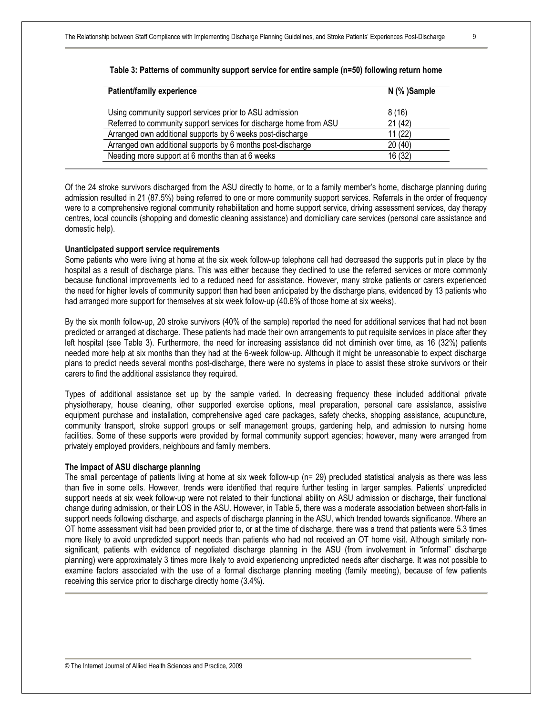| <b>Patient/family experience</b>                                   | N (%) Sample |
|--------------------------------------------------------------------|--------------|
| Using community support services prior to ASU admission            | 8(16)        |
| Referred to community support services for discharge home from ASU | 21(42)       |
| Arranged own additional supports by 6 weeks post-discharge         | 11 (22)      |
| Arranged own additional supports by 6 months post-discharge        | 20(40)       |
| Needing more support at 6 months than at 6 weeks                   | 16 (32)      |

## **Table 3: Patterns of community support service for entire sample (n=50) following return home**

Of the 24 stroke survivors discharged from the ASU directly to home, or to a family member's home, discharge planning during admission resulted in 21 (87.5%) being referred to one or more community support services. Referrals in the order of frequency were to a comprehensive regional community rehabilitation and home support service, driving assessment services, day therapy centres, local councils (shopping and domestic cleaning assistance) and domiciliary care services (personal care assistance and domestic help).

#### **Unanticipated support service requirements**

Some patients who were living at home at the six week follow-up telephone call had decreased the supports put in place by the hospital as a result of discharge plans. This was either because they declined to use the referred services or more commonly because functional improvements led to a reduced need for assistance. However, many stroke patients or carers experienced the need for higher levels of community support than had been anticipated by the discharge plans, evidenced by 13 patients who had arranged more support for themselves at six week follow-up (40.6% of those home at six weeks).

By the six month follow-up, 20 stroke survivors (40% of the sample) reported the need for additional services that had not been predicted or arranged at discharge. These patients had made their own arrangements to put requisite services in place after they left hospital (see Table 3). Furthermore, the need for increasing assistance did not diminish over time, as 16 (32%) patients needed more help at six months than they had at the 6-week follow-up. Although it might be unreasonable to expect discharge plans to predict needs several months post-discharge, there were no systems in place to assist these stroke survivors or their carers to find the additional assistance they required.

Types of additional assistance set up by the sample varied. In decreasing frequency these included additional private physiotherapy, house cleaning, other supported exercise options, meal preparation, personal care assistance, assistive equipment purchase and installation, comprehensive aged care packages, safety checks, shopping assistance, acupuncture, community transport, stroke support groups or self management groups, gardening help, and admission to nursing home facilities. Some of these supports were provided by formal community support agencies; however, many were arranged from privately employed providers, neighbours and family members.

#### **The impact of ASU discharge planning**

The small percentage of patients living at home at six week follow-up (n= 29) precluded statistical analysis as there was less than five in some cells. However, trends were identified that require further testing in larger samples. Patients' unpredicted support needs at six week follow-up were not related to their functional ability on ASU admission or discharge, their functional change during admission, or their LOS in the ASU. However, in Table 5, there was a moderate association between short-falls in support needs following discharge, and aspects of discharge planning in the ASU, which trended towards significance. Where an OT home assessment visit had been provided prior to, or at the time of discharge, there was a trend that patients were 5.3 times more likely to avoid unpredicted support needs than patients who had not received an OT home visit. Although similarly nonsignificant, patients with evidence of negotiated discharge planning in the ASU (from involvement in "informal" discharge planning) were approximately 3 times more likely to avoid experiencing unpredicted needs after discharge. It was not possible to examine factors associated with the use of a formal discharge planning meeting (family meeting), because of few patients receiving this service prior to discharge directly home (3.4%).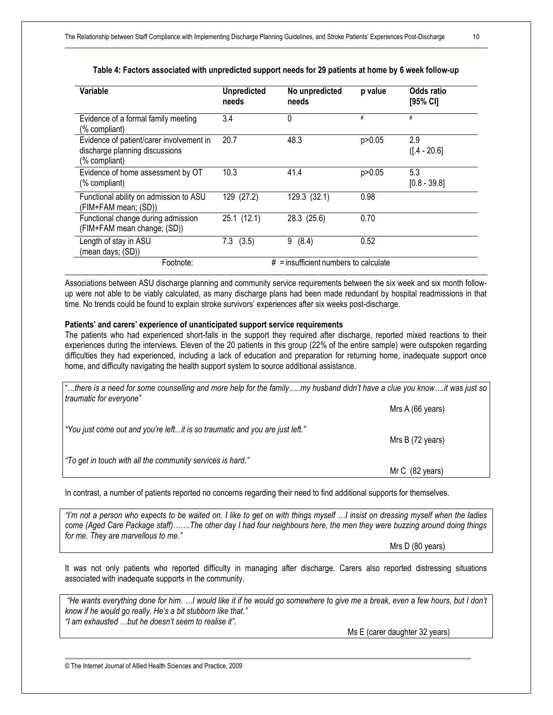| Variable                                                                                    | <b>Unpredicted</b><br>needs | No unpredicted<br>needs                 | p value | Odds ratio<br>$[95%$ CI] |
|---------------------------------------------------------------------------------------------|-----------------------------|-----------------------------------------|---------|--------------------------|
| Evidence of a formal family meeting<br>(% compliant)                                        | 3.4                         | 0                                       | #       | #                        |
| Evidence of patient/carer involvement in<br>discharge planning discussions<br>(% compliant) | 20.7                        | 48.3                                    | p>0.05  | 2.9<br>$(1.4 - 20.6)$    |
| Evidence of home assessment by OT<br>(% compliant)                                          | 10.3                        | 41.4                                    | p>0.05  | 5.3<br>$[0.8 - 39.8]$    |
| Functional ability on admission to ASU<br>(FIM+FAM mean; (SD))                              | 129 (27.2)                  | 129.3 (32.1)                            | 0.98    |                          |
| Functional change during admission<br>(FIM+FAM mean change; (SD))                           | 25.1 (12.1)                 | 28.3 (25.6)                             | 0.70    |                          |
| Length of stay in ASU<br>(mean days; (SD))                                                  | $7.3$ $(3.5)$               | 9<br>(8.4)                              | 0.52    |                          |
| Footnote:                                                                                   |                             | $#$ = insufficient numbers to calculate |         |                          |

## **Table 4: Factors associated with unpredicted support needs for 29 patients at home by 6 week follow-up**

Associations between ASU discharge planning and community service requirements between the six week and six month followup were not able to be viably calculated, as many discharge plans had been made redundant by hospital readmissions in that time. No trends could be found to explain stroke survivors' experiences after six weeks post-discharge.

## **Patients' and carers' experience of unanticipated support service requirements**

The patients who had experienced short-falls in the support they required after discharge, reported mixed reactions to their experiences during the interviews. Eleven of the 20 patients in this group (22% of the entire sample) were outspoken regarding difficulties they had experienced, including a lack of education and preparation for returning home, inadequate support once home, and difficulty navigating the health support system to source additional assistance.

| there is a need for some counselling and more help for the familymy husband didn't have a clue you knowit was just so.<br>traumatic for everyone" |                  |
|---------------------------------------------------------------------------------------------------------------------------------------------------|------------------|
|                                                                                                                                                   | Mrs A (66 years) |
| "You just come out and you're leftit is so traumatic and you are just left."                                                                      | Mrs B (72 years) |
| "To get in touch with all the community services is hard."                                                                                        | Mr C (82 years)  |

In contrast, a number of patients reported no concerns regarding their need to find additional supports for themselves.

"I'm not a person who expects to be waited on. I like to get on with things myself ...I insist on dressing myself when the ladies come (Aged Care Package staff).......The other day I had four neighbours here, the men they were buzzing around doing things *for me. They are marvellous to me."* 

Mrs D (80 years)

It was not only patients who reported difficulty in managing after discharge. Carers also reported distressing situations associated with inadequate supports in the community.

"He wants everything done for him. ...I would like it if he would go somewhere to give me a break, even a few hours, but I don't *know if he would go really. He's a bit stubborn like that." "I am exhausted …but he doesn't seem to realise it".* 

Ms E (carer daughter 32 years)

© The Internet Journal of Allied Health Sciences and Practice, 2009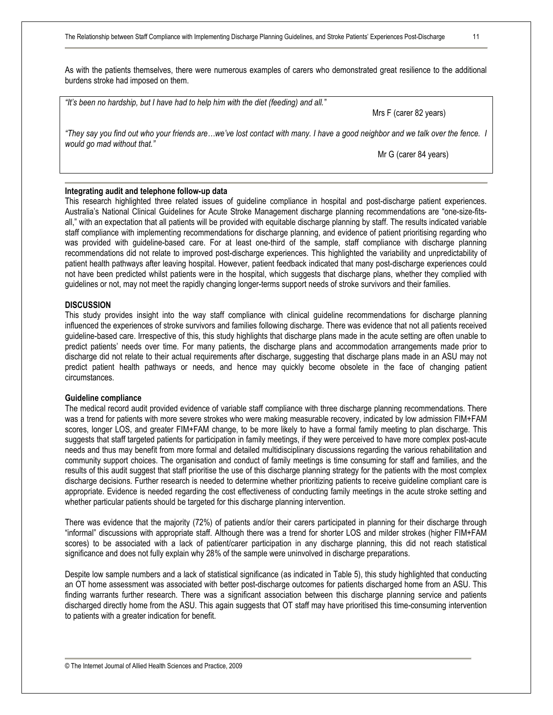As with the patients themselves, there were numerous examples of carers who demonstrated great resilience to the additional burdens stroke had imposed on them.

| "It's been no hardship, but I have had to help him with the diet (feeding) and all."                                                                         |                        |
|--------------------------------------------------------------------------------------------------------------------------------------------------------------|------------------------|
|                                                                                                                                                              | Mrs F (carer 82 years) |
| "They say you find out who your friends arewe've lost contact with many. I have a good neighbor and we talk over the fence. I<br>would go mad without that." |                        |
|                                                                                                                                                              | Mr G (carer 84 years)  |
|                                                                                                                                                              |                        |

## **Integrating audit and telephone follow-up data**

This research highlighted three related issues of guideline compliance in hospital and post-discharge patient experiences. Australia's National Clinical Guidelines for Acute Stroke Management discharge planning recommendations are "one-size-fitsall," with an expectation that all patients will be provided with equitable discharge planning by staff. The results indicated variable staff compliance with implementing recommendations for discharge planning, and evidence of patient prioritising regarding who was provided with guideline-based care. For at least one-third of the sample, staff compliance with discharge planning recommendations did not relate to improved post-discharge experiences. This highlighted the variability and unpredictability of patient health pathways after leaving hospital. However, patient feedback indicated that many post-discharge experiences could not have been predicted whilst patients were in the hospital, which suggests that discharge plans, whether they complied with guidelines or not, may not meet the rapidly changing longer-terms support needs of stroke survivors and their families.

#### **DISCUSSION**

This study provides insight into the way staff compliance with clinical guideline recommendations for discharge planning influenced the experiences of stroke survivors and families following discharge. There was evidence that not all patients received guideline-based care. Irrespective of this, this study highlights that discharge plans made in the acute setting are often unable to predict patients' needs over time. For many patients, the discharge plans and accommodation arrangements made prior to discharge did not relate to their actual requirements after discharge, suggesting that discharge plans made in an ASU may not predict patient health pathways or needs, and hence may quickly become obsolete in the face of changing patient circumstances.

#### **Guideline compliance**

The medical record audit provided evidence of variable staff compliance with three discharge planning recommendations. There was a trend for patients with more severe strokes who were making measurable recovery, indicated by low admission FIM+FAM scores, longer LOS, and greater FIM+FAM change, to be more likely to have a formal family meeting to plan discharge. This suggests that staff targeted patients for participation in family meetings, if they were perceived to have more complex post-acute needs and thus may benefit from more formal and detailed multidisciplinary discussions regarding the various rehabilitation and community support choices. The organisation and conduct of family meetings is time consuming for staff and families, and the results of this audit suggest that staff prioritise the use of this discharge planning strategy for the patients with the most complex discharge decisions. Further research is needed to determine whether prioritizing patients to receive guideline compliant care is appropriate. Evidence is needed regarding the cost effectiveness of conducting family meetings in the acute stroke setting and whether particular patients should be targeted for this discharge planning intervention.

There was evidence that the majority (72%) of patients and/or their carers participated in planning for their discharge through "informal" discussions with appropriate staff. Although there was a trend for shorter LOS and milder strokes (higher FIM+FAM scores) to be associated with a lack of patient/carer participation in any discharge planning, this did not reach statistical significance and does not fully explain why 28% of the sample were uninvolved in discharge preparations.

Despite low sample numbers and a lack of statistical significance (as indicated in Table 5), this study highlighted that conducting an OT home assessment was associated with better post-discharge outcomes for patients discharged home from an ASU. This finding warrants further research. There was a significant association between this discharge planning service and patients discharged directly home from the ASU. This again suggests that OT staff may have prioritised this time-consuming intervention to patients with a greater indication for benefit.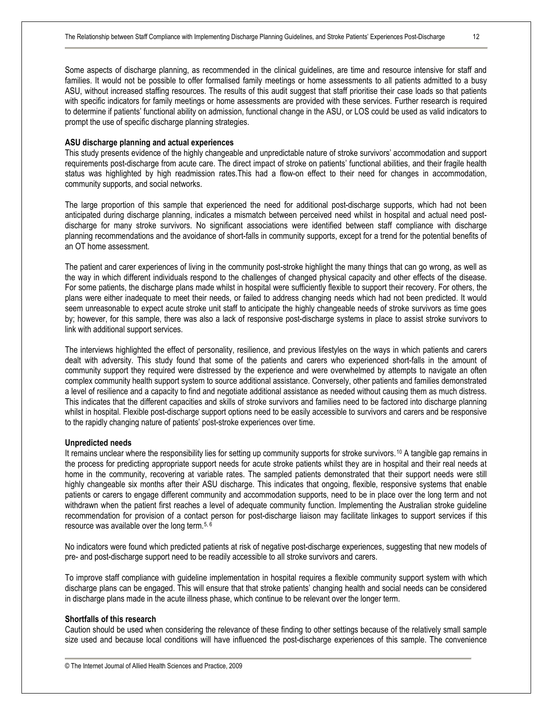Some aspects of discharge planning, as recommended in the clinical guidelines, are time and resource intensive for staff and families. It would not be possible to offer formalised family meetings or home assessments to all patients admitted to a busy ASU, without increased staffing resources. The results of this audit suggest that staff prioritise their case loads so that patients with specific indicators for family meetings or home assessments are provided with these services. Further research is required to determine if patients' functional ability on admission, functional change in the ASU, or LOS could be used as valid indicators to prompt the use of specific discharge planning strategies.

#### **ASU discharge planning and actual experiences**

This study presents evidence of the highly changeable and unpredictable nature of stroke survivors' accommodation and support requirements post-discharge from acute care. The direct impact of stroke on patients' functional abilities, and their fragile health status was highlighted by high readmission rates.This had a flow-on effect to their need for changes in accommodation, community supports, and social networks.

The large proportion of this sample that experienced the need for additional post-discharge supports, which had not been anticipated during discharge planning, indicates a mismatch between perceived need whilst in hospital and actual need postdischarge for many stroke survivors. No significant associations were identified between staff compliance with discharge planning recommendations and the avoidance of short-falls in community supports, except for a trend for the potential benefits of an OT home assessment.

The patient and carer experiences of living in the community post-stroke highlight the many things that can go wrong, as well as the way in which different individuals respond to the challenges of changed physical capacity and other effects of the disease. For some patients, the discharge plans made whilst in hospital were sufficiently flexible to support their recovery. For others, the plans were either inadequate to meet their needs, or failed to address changing needs which had not been predicted. It would seem unreasonable to expect acute stroke unit staff to anticipate the highly changeable needs of stroke survivors as time goes by; however, for this sample, there was also a lack of responsive post-discharge systems in place to assist stroke survivors to link with additional support services.

The interviews highlighted the effect of personality, resilience, and previous lifestyles on the ways in which patients and carers dealt with adversity. This study found that some of the patients and carers who experienced short-falls in the amount of community support they required were distressed by the experience and were overwhelmed by attempts to navigate an often complex community health support system to source additional assistance. Conversely, other patients and families demonstrated a level of resilience and a capacity to find and negotiate additional assistance as needed without causing them as much distress. This indicates that the different capacities and skills of stroke survivors and families need to be factored into discharge planning whilst in hospital. Flexible post-discharge support options need to be easily accessible to survivors and carers and be responsive to the rapidly changing nature of patients' post-stroke experiences over time.

#### **Unpredicted needs**

It remains unclear where the responsibility lies for setting up community supports for stroke survivors.<sup>10</sup> A tangible gap remains in the process for predicting appropriate support needs for acute stroke patients whilst they are in hospital and their real needs at home in the community, recovering at variable rates. The sampled patients demonstrated that their support needs were still highly changeable six months after their ASU discharge. This indicates that ongoing, flexible, responsive systems that enable patients or carers to engage different community and accommodation supports, need to be in place over the long term and not withdrawn when the patient first reaches a level of adequate community function. Implementing the Australian stroke guideline recommendation for provision of a contact person for post-discharge liaison may facilitate linkages to support services if this resource was available over the long term.5, 6

No indicators were found which predicted patients at risk of negative post-discharge experiences, suggesting that new models of pre- and post-discharge support need to be readily accessible to all stroke survivors and carers.

To improve staff compliance with guideline implementation in hospital requires a flexible community support system with which discharge plans can be engaged. This will ensure that that stroke patients' changing health and social needs can be considered in discharge plans made in the acute illness phase, which continue to be relevant over the longer term.

#### **Shortfalls of this research**

Caution should be used when considering the relevance of these finding to other settings because of the relatively small sample size used and because local conditions will have influenced the post-discharge experiences of this sample. The convenience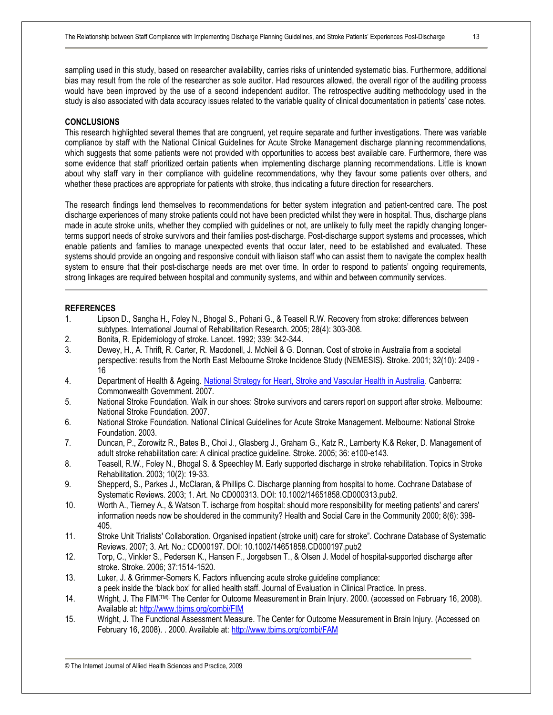sampling used in this study, based on researcher availability, carries risks of unintended systematic bias. Furthermore, additional bias may result from the role of the researcher as sole auditor. Had resources allowed, the overall rigor of the auditing process would have been improved by the use of a second independent auditor. The retrospective auditing methodology used in the study is also associated with data accuracy issues related to the variable quality of clinical documentation in patients' case notes.

## **CONCLUSIONS**

This research highlighted several themes that are congruent, yet require separate and further investigations. There was variable compliance by staff with the National Clinical Guidelines for Acute Stroke Management discharge planning recommendations, which suggests that some patients were not provided with opportunities to access best available care. Furthermore, there was some evidence that staff prioritized certain patients when implementing discharge planning recommendations. Little is known about why staff vary in their compliance with guideline recommendations, why they favour some patients over others, and whether these practices are appropriate for patients with stroke, thus indicating a future direction for researchers.

The research findings lend themselves to recommendations for better system integration and patient-centred care. The post discharge experiences of many stroke patients could not have been predicted whilst they were in hospital. Thus, discharge plans made in acute stroke units, whether they complied with guidelines or not, are unlikely to fully meet the rapidly changing longerterms support needs of stroke survivors and their families post-discharge. Post-discharge support systems and processes, which enable patients and families to manage unexpected events that occur later, need to be established and evaluated. These systems should provide an ongoing and responsive conduit with liaison staff who can assist them to navigate the complex health system to ensure that their post-discharge needs are met over time. In order to respond to patients' ongoing requirements, strong linkages are required between hospital and community systems, and within and between community services.

## **REFERENCES**

- 1. Lipson D., Sangha H., Foley N., Bhogal S., Pohani G., & Teasell R.W. Recovery from stroke: differences between subtypes. International Journal of Rehabilitation Research. 2005; 28(4): 303-308.
- 2. Bonita, R. Epidemiology of stroke. Lancet. 1992; 339: 342-344.
- 3. Dewey, H., A. Thrift, R. Carter, R. Macdonell, J. McNeil & G. Donnan. Cost of stroke in Australia from a societal perspective: results from the North East Melbourne Stroke Incidence Study (NEMESIS). Stroke. 2001; 32(10): 2409 - 16
- 4. Department of Health & Ageing. National Strategy for Heart, Stroke and Vascular Health in Australia. Canberra: Commonwealth Government. 2007.
- 5. National Stroke Foundation. Walk in our shoes: Stroke survivors and carers report on support after stroke. Melbourne: National Stroke Foundation. 2007.
- 6. National Stroke Foundation. National Clinical Guidelines for Acute Stroke Management. Melbourne: National Stroke Foundation. 2003.
- 7. Duncan, P., Zorowitz R., Bates B., Choi J., Glasberg J., Graham G., Katz R., Lamberty K.& Reker, D. Management of adult stroke rehabilitation care: A clinical practice guideline. Stroke. 2005; 36: e100-e143.
- 8. Teasell, R.W., Foley N., Bhogal S. & Speechley M. Early supported discharge in stroke rehabilitation. Topics in Stroke Rehabilitation. 2003; 10(2): 19-33.
- 9. Shepperd, S., Parkes J., McClaran, & Phillips C. Discharge planning from hospital to home. Cochrane Database of Systematic Reviews. 2003; 1. Art. No CD000313. DOI: 10.1002/14651858.CD000313.pub2.
- 10. Worth A., Tierney A., & Watson T. ischarge from hospital: should more responsibility for meeting patients' and carers' information needs now be shouldered in the community? Health and Social Care in the Community 2000; 8(6): 398- 405.
- 11. Stroke Unit Trialists' Collaboration. Organised inpatient (stroke unit) care for stroke". Cochrane Database of Systematic Reviews. 2007; 3. Art. No.: CD000197. DOI: 10.1002/14651858.CD000197.pub2
- 12. Torp, C., Vinkler S., Pedersen K., Hansen F., Jorgebsen T., & Olsen J. Model of hospital-supported discharge after stroke. Stroke. 2006; 37:1514-1520.
- 13. Luker, J. & Grimmer-Somers K. Factors influencing acute stroke guideline compliance:
- a peek inside the 'black box' for allied health staff. Journal of Evaluation in Clinical Practice. In press.
- 14. Wright, J. The FIM(TM). The Center for Outcome Measurement in Brain Injury*.* 2000. (accessed on February 16, 2008). Available at: <http://www.tbims.org/combi/FIM>
- 15. Wright, J. The Functional Assessment Measure. The Center for Outcome Measurement in Brain Injury. (Accessed on February 16, 2008). . 2000. Available at: <http://www.tbims.org/combi/FAM>

<sup>©</sup> The Internet Journal of Allied Health Sciences and Practice, 2009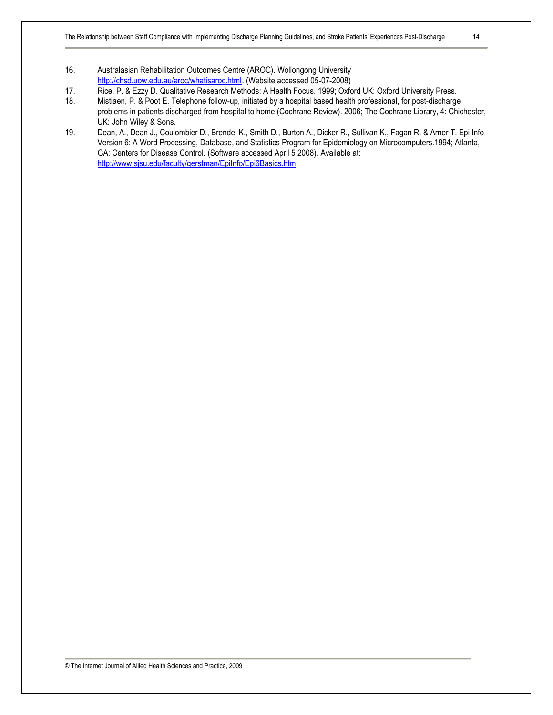- 16. Australasian Rehabilitation Outcomes Centre (AROC). Wollongong University [http://chsd.uow.edu.au/aroc/whatisaroc.html.](http://chsd.uow.edu.au/aroc/whatisaroc.html) (Website accessed 05-07-2008)
- 17. Rice, P. & Ezzy D. Qualitative Research Methods: A Health Focus. 1999; Oxford UK: Oxford University Press.
- 18. Mistiaen, P. & Poot E. Telephone follow-up, initiated by a hospital based health professional, for post-discharge problems in patients discharged from hospital to home (Cochrane Review). 2006; The Cochrane Library, 4: Chichester, UK: John Wiley & Sons.
- 19. Dean, A., Dean J., Coulombier D., Brendel K., Smith D., Burton A., Dicker R., Sullivan K., Fagan R. & Arner T. Epi Info Version 6: A Word Processing, Database, and Statistics Program for Epidemiology on Microcomputers.1994; Atlanta, GA: Centers for Disease Control. (Software accessed April 5 2008). Available at: <http://www.sjsu.edu/faculty/gerstman/EpiInfo/Epi6Basics.htm>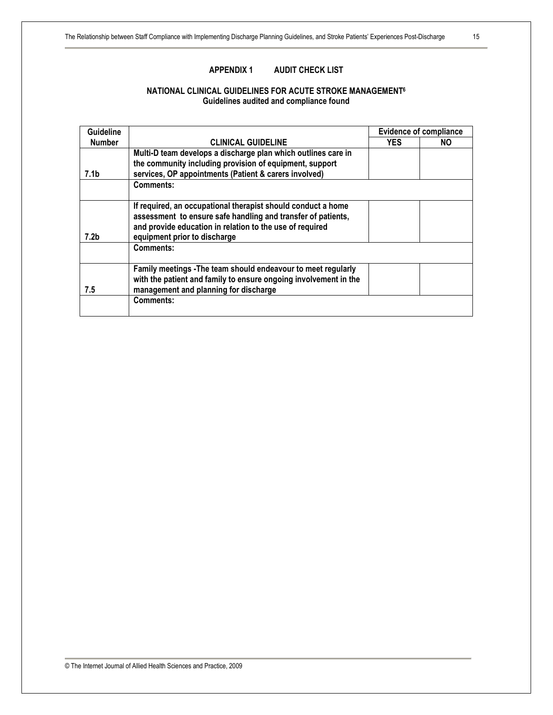## **NATIONAL CLINICAL GUIDELINES FOR ACUTE STROKE MANAGEMENT<sup>6</sup> Guidelines audited and compliance found**

| <b>Guideline</b> |                                                                                                                                                                                                                          |            | <b>Evidence of compliance</b> |
|------------------|--------------------------------------------------------------------------------------------------------------------------------------------------------------------------------------------------------------------------|------------|-------------------------------|
| <b>Number</b>    | <b>CLINICAL GUIDELINE</b>                                                                                                                                                                                                | <b>YES</b> | NO.                           |
|                  | Multi-D team develops a discharge plan which outlines care in                                                                                                                                                            |            |                               |
|                  | the community including provision of equipment, support                                                                                                                                                                  |            |                               |
| 7.1b             | services, OP appointments (Patient & carers involved)                                                                                                                                                                    |            |                               |
|                  | <b>Comments:</b>                                                                                                                                                                                                         |            |                               |
| 7.2b             | If required, an occupational therapist should conduct a home<br>assessment to ensure safe handling and transfer of patients,<br>and provide education in relation to the use of required<br>equipment prior to discharge |            |                               |
|                  | <b>Comments:</b>                                                                                                                                                                                                         |            |                               |
| 7.5              | Family meetings - The team should endeavour to meet regularly<br>with the patient and family to ensure ongoing involvement in the<br>management and planning for discharge                                               |            |                               |
|                  | Comments:                                                                                                                                                                                                                |            |                               |